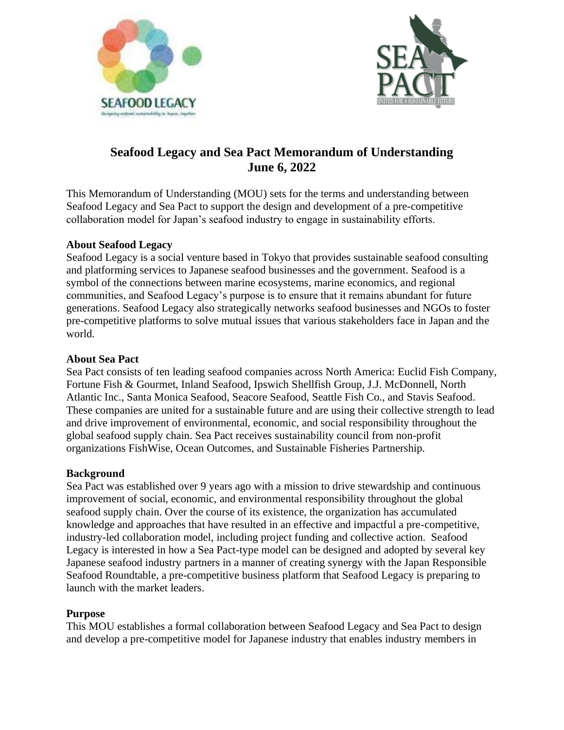



# **Seafood Legacy and Sea Pact Memorandum of Understanding June 6, 2022**

This Memorandum of Understanding (MOU) sets for the terms and understanding between Seafood Legacy and Sea Pact to support the design and development of a pre-competitive collaboration model for Japan's seafood industry to engage in sustainability efforts.

# **About Seafood Legacy**

Seafood Legacy is a social venture based in Tokyo that provides sustainable seafood consulting and platforming services to Japanese seafood businesses and the government. Seafood is a symbol of the connections between marine ecosystems, marine economics, and regional communities, and Seafood Legacy's purpose is to ensure that it remains abundant for future generations. Seafood Legacy also strategically networks seafood businesses and NGOs to foster pre-competitive platforms to solve mutual issues that various stakeholders face in Japan and the world.

# **About Sea Pact**

Sea Pact consists of ten leading seafood companies across North America: Euclid Fish Company, Fortune Fish & Gourmet, Inland Seafood, Ipswich Shellfish Group, J.J. McDonnell, North Atlantic Inc., Santa Monica Seafood, Seacore Seafood, Seattle Fish Co., and Stavis Seafood. These companies are united for a sustainable future and are using their collective strength to lead and drive improvement of environmental, economic, and social responsibility throughout the global seafood supply chain. Sea Pact receives sustainability council from non-profit organizations FishWise, Ocean Outcomes, and Sustainable Fisheries Partnership.

## **Background**

Sea Pact was established over 9 years ago with a mission to drive stewardship and continuous improvement of social, economic, and environmental responsibility throughout the global seafood supply chain. Over the course of its existence, the organization has accumulated knowledge and approaches that have resulted in an effective and impactful a pre-competitive, industry-led collaboration model, including project funding and collective action. Seafood Legacy is interested in how a Sea Pact-type model can be designed and adopted by several key Japanese seafood industry partners in a manner of creating synergy with the Japan Responsible Seafood Roundtable, a pre-competitive business platform that Seafood Legacy is preparing to launch with the market leaders.

# **Purpose**

This MOU establishes a formal collaboration between Seafood Legacy and Sea Pact to design and develop a pre-competitive model for Japanese industry that enables industry members in